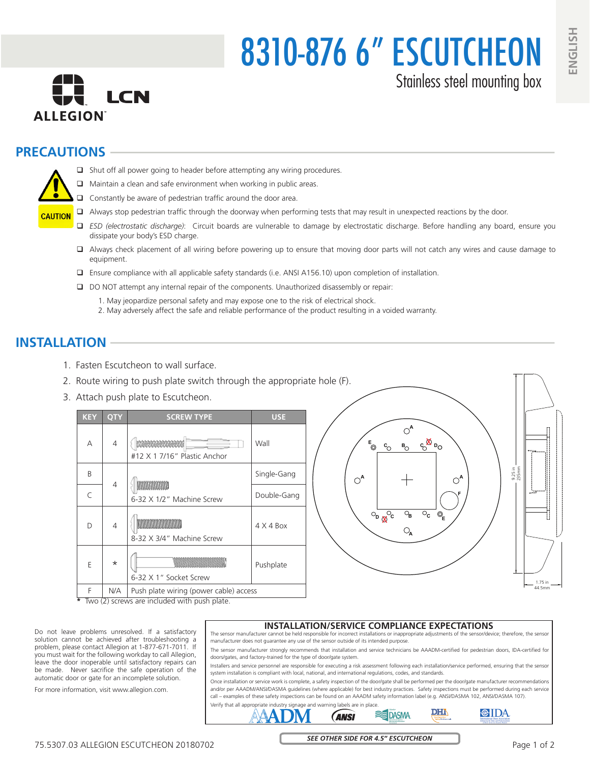8310-876 6" ESCUTCHEON Stainless steel mounting box

# **PRECAUTIONS**



- $\Box$  Shut off all power going to header before attempting any wiring procedures.
- Maintain a clean and safe environment when working in public areas.
- $\Box$  Constantly be aware of pedestrian traffic around the door area.
- Always stop pedestrian traffic through the doorway when performing tests that may result in unexpected reactions by the door.
- *ESD (electrostatic discharge)*: Circuit boards are vulnerable to damage by electrostatic discharge. Before handling any board, ensure you dissipate your body's ESD charge.
- Always check placement of all wiring before powering up to ensure that moving door parts will not catch any wires and cause damage to equipment.
- Ensure compliance with all applicable safety standards (i.e. ANSI A156.10) upon completion of installation.
- DO NOT attempt any internal repair of the components. Unauthorized disassembly or repair:
	- 1. May jeopardize personal safety and may expose one to the risk of electrical shock.
	- 2. May adversely affect the safe and reliable performance of the product resulting in a voided warranty.

## **INSTALLATION**

- 1. Fasten Escutcheon to wall surface.
- 2. Route wiring to push plate switch through the appropriate hole (F).
- 3. Attach push plate to Escutcheon.

| <b>KEY</b>      | <b>QTY</b>     | <b>SCREW TYPE</b>                              | <b>USE</b>       |  |
|-----------------|----------------|------------------------------------------------|------------------|--|
| А               | $\overline{4}$ | 02000000000000<br>#12 X 1 7/16" Plastic Anchor | Wall             |  |
| B               | $\overline{4}$ | wwww<br>6-32 X 1/2" Machine Screw              | Single-Gang      |  |
| C               |                |                                                | Double-Gang      |  |
| D               | 4              | 8-32 X 3/4" Machine Screw                      | $4 \times 4$ Box |  |
| E               | $\star$        | 6-32 X 1" Socket Screw                         | Pushplate        |  |
| F               | N/A            | Push plate wiring (power cable) access         |                  |  |
| $\star$<br>Тило |                | screws are included with push plate            |                  |  |



**\*** Two (2) screws are included with push plate.

Do not leave problems unresolved. If a satisfactory solution cannot be achieved after troubleshooting a problem, please contact Allegion at 1-877-671-7011. If you must wait for the following workday to call Allegion, leave the door inoperable until satisfactory repairs can be made. Never sacrifice the safe operation of the automatic door or gate for an incomplete solution.

For more information, visit www.allegion.com.

### **INSTALLATION/SERVICE COMPLIANCE EXPECTATIONS**

The sensor manufacturer cannot be held responsible for incorrect installations or inappropriate adjustments of the sensor/device; therefore, the sensor manufacturer does not guarantee any use of the sensor outside of its intended purpose.

The sensor manufacturer strongly recommends that installation and service technicians be AAADM-certified for pedestrian doors, IDA-certified for doors/gates, and factory-trained for the type of door/gate system.

Installers and service personnel are responsible for executing a risk assessment following each installation/service performed, ensuring that the sensor system installation is compliant with local, national, and international regulations, codes, and standards.

Once installation or service work is complete, a safety inspection of the door/gate shall be performed per the door/gate manufacturer recommendations and/or per AAADM/ANSI/DASMA guidelines (where applicable) for best industry practices. Safety inspections must be performed during each service call – examples of these safety inspections can be found on an AAADM safety information label (e.g. ANSI/DASMA 102, ANSI/DASMA 107).



*SEE OTHER SIDE FOR 4.5" ESCUTCHEON*